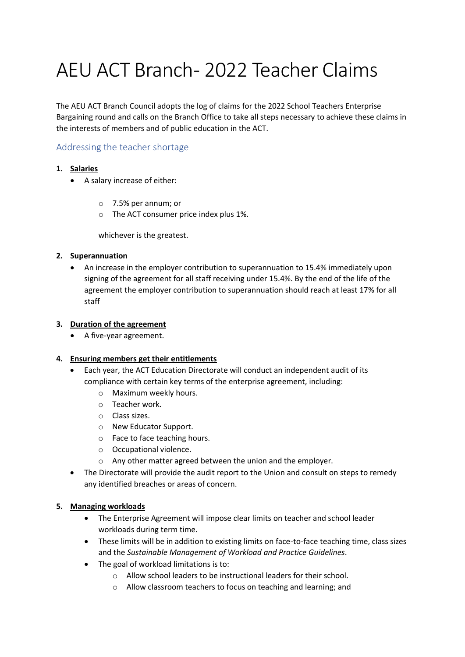# AEU ACT Branch - 2022 Teacher Claims

The AEU ACT Branch Council adopts the log of claims for the 2022 School Teachers Enterprise Bargaining round and calls on the Branch Office to take all steps necessary to achieve these claims in the interests of members and of public education in the ACT.

# Addressing the teacher shortage

# **1. Salaries**

- A salary increase of either:
	- o 7.5% per annum; or
	- o The ACT consumer price index plus 1%.

whichever is the greatest.

# **2. Superannuation**

• An increase in the employer contribution to superannuation to 15.4% immediately upon signing of the agreement for all staff receiving under 15.4%. By the end of the life of the agreement the employer contribution to superannuation should reach at least 17% for all staff

#### **3. Duration of the agreement**

• A five-year agreement.

# **4. Ensuring members get their entitlements**

- Each year, the ACT Education Directorate will conduct an independent audit of its compliance with certain key terms of the enterprise agreement, including:
	- o Maximum weekly hours.
	- o Teacher work.
	- o Class sizes.
	- o New Educator Support.
	- o Face to face teaching hours.
	- o Occupational violence.
	- o Any other matter agreed between the union and the employer.
- The Directorate will provide the audit report to the Union and consult on steps to remedy any identified breaches or areas of concern.

#### **5. Managing workloads**

- The Enterprise Agreement will impose clear limits on teacher and school leader workloads during term time.
- These limits will be in addition to existing limits on face-to-face teaching time, class sizes and the *Sustainable Management of Workload and Practice Guidelines*.
- The goal of workload limitations is to:
	- o Allow school leaders to be instructional leaders for their school.
	- o Allow classroom teachers to focus on teaching and learning; and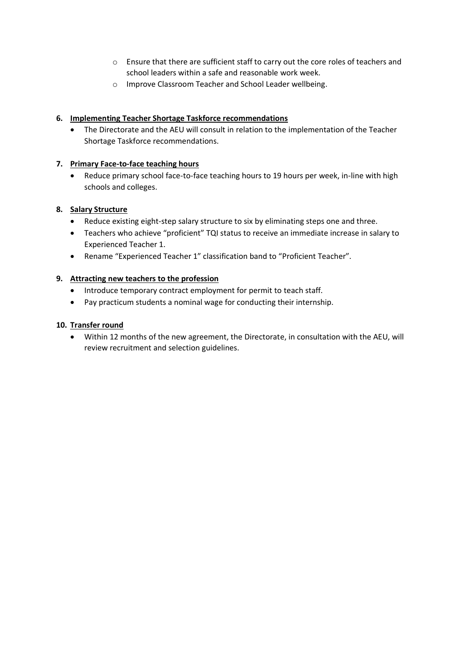- o Ensure that there are sufficient staff to carry out the core roles of teachers and school leaders within a safe and reasonable work week.
- o Improve Classroom Teacher and School Leader wellbeing.

#### **6. Implementing Teacher Shortage Taskforce recommendations**

• The Directorate and the AEU will consult in relation to the implementation of the Teacher Shortage Taskforce recommendations.

#### **7. Primary Face-to-face teaching hours**

• Reduce primary school face-to-face teaching hours to 19 hours per week, in-line with high schools and colleges.

# **8. Salary Structure**

- Reduce existing eight-step salary structure to six by eliminating steps one and three.
- Teachers who achieve "proficient" TQI status to receive an immediate increase in salary to Experienced Teacher 1.
- Rename "Experienced Teacher 1" classification band to "Proficient Teacher".

# **9. Attracting new teachers to the profession**

- Introduce temporary contract employment for permit to teach staff.
- Pay practicum students a nominal wage for conducting their internship.

#### **10. Transfer round**

• Within 12 months of the new agreement, the Directorate, in consultation with the AEU, will review recruitment and selection guidelines.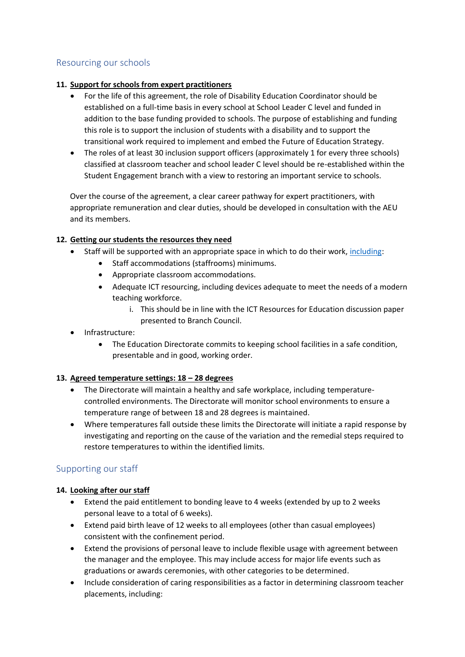# Resourcing our schools

#### **11. Support for schools from expert practitioners**

- For the life of this agreement, the role of Disability Education Coordinator should be established on a full-time basis in every school at School Leader C level and funded in addition to the base funding provided to schools. The purpose of establishing and funding this role is to support the inclusion of students with a disability and to support the transitional work required to implement and embed the Future of Education Strategy.
- The roles of at least 30 inclusion support officers (approximately 1 for every three schools) classified at classroom teacher and school leader C level should be re-established within the Student Engagement branch with a view to restoring an important service to schools.

Over the course of the agreement, a clear career pathway for expert practitioners, with appropriate remuneration and clear duties, should be developed in consultation with the AEU and its members.

# **12. Getting our students the resources they need**

- Staff will be supported with an appropriate space in which to do their work, [including:](https://www.aeuact.org.au/application/files/3116/3721/4593/Draft_Log_of_Claims_Explantory_Notes.pdf)
	- Staff accommodations (staffrooms) minimums.
	- Appropriate classroom accommodations.
	- Adequate ICT resourcing, including devices adequate to meet the needs of a modern teaching workforce.
		- i. This should be in line with the ICT Resources for Education discussion paper presented to Branch Council.
- Infrastructure:
	- The Education Directorate commits to keeping school facilities in a safe condition, presentable and in good, working order.

#### **13. Agreed temperature settings: 18 – 28 degrees**

- The Directorate will maintain a healthy and safe workplace, including temperaturecontrolled environments. The Directorate will monitor school environments to ensure a temperature range of between 18 and 28 degrees is maintained.
- Where temperatures fall outside these limits the Directorate will initiate a rapid response by investigating and reporting on the cause of the variation and the remedial steps required to restore temperatures to within the identified limits.

# Supporting our staff

#### **14. Looking after our staff**

- Extend the paid entitlement to bonding leave to 4 weeks (extended by up to 2 weeks personal leave to a total of 6 weeks).
- Extend paid birth leave of 12 weeks to all employees (other than casual employees) consistent with the confinement period.
- Extend the provisions of personal leave to include flexible usage with agreement between the manager and the employee. This may include access for major life events such as graduations or awards ceremonies, with other categories to be determined.
- Include consideration of caring responsibilities as a factor in determining classroom teacher placements, including: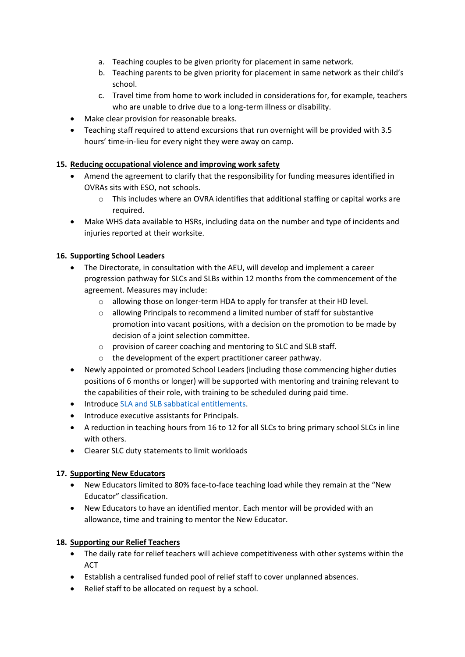- a. Teaching couples to be given priority for placement in same network.
- b. Teaching parents to be given priority for placement in same network as their child's school.
- c. Travel time from home to work included in considerations for, for example, teachers who are unable to drive due to a long-term illness or disability.
- Make clear provision for reasonable breaks.
- Teaching staff required to attend excursions that run overnight will be provided with 3.5 hours' time-in-lieu for every night they were away on camp.

# **15. Reducing occupational violence and improving work safety**

- Amend the agreement to clarify that the responsibility for funding measures identified in OVRAs sits with ESO, not schools.
	- $\circ$  This includes where an OVRA identifies that additional staffing or capital works are required.
- Make WHS data available to HSRs, including data on the number and type of incidents and injuries reported at their worksite.

# **16. Supporting School Leaders**

- The Directorate, in consultation with the AEU, will develop and implement a career progression pathway for SLCs and SLBs within 12 months from the commencement of the agreement. Measures may include:
	- o allowing those on longer-term HDA to apply for transfer at their HD level.
	- $\circ$  allowing Principals to recommend a limited number of staff for substantive promotion into vacant positions, with a decision on the promotion to be made by decision of a joint selection committee.
	- o provision of career coaching and mentoring to SLC and SLB staff.
	- o the development of the expert practitioner career pathway.
- Newly appointed or promoted School Leaders (including those commencing higher duties positions of 6 months or longer) will be supported with mentoring and training relevant to the capabilities of their role, with training to be scheduled during paid time.
- Introduce [SLA and SLB sabbatical entitlements.](https://www.aeuact.org.au/application/files/3116/3721/4593/Draft_Log_of_Claims_Explantory_Notes.pdf)
- Introduce executive assistants for Principals.
- A reduction in teaching hours from 16 to 12 for all SLCs to bring primary school SLCs in line with others.
- Clearer SLC duty statements to limit workloads

#### **17. Supporting New Educators**

- New Educators limited to 80% face-to-face teaching load while they remain at the "New Educator" classification.
- New Educators to have an identified mentor. Each mentor will be provided with an allowance, time and training to mentor the New Educator.

#### **18. Supporting our Relief Teachers**

- The daily rate for relief teachers will achieve competitiveness with other systems within the **ACT**
- Establish a centralised funded pool of relief staff to cover unplanned absences.
- Relief staff to be allocated on request by a school.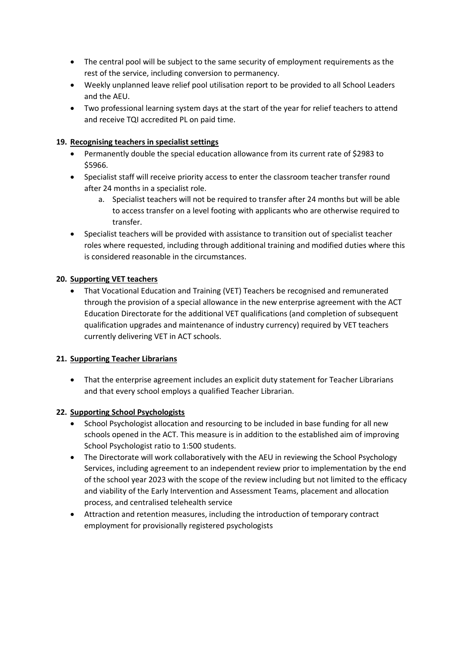- The central pool will be subject to the same security of employment requirements as the rest of the service, including conversion to permanency.
- Weekly unplanned leave relief pool utilisation report to be provided to all School Leaders and the AEU.
- Two professional learning system days at the start of the year for relief teachers to attend and receive TQI accredited PL on paid time.

# **19. Recognising teachers in specialist settings**

- Permanently double the special education allowance from its current rate of \$2983 to \$5966.
- Specialist staff will receive priority access to enter the classroom teacher transfer round after 24 months in a specialist role.
	- a. Specialist teachers will not be required to transfer after 24 months but will be able to access transfer on a level footing with applicants who are otherwise required to transfer.
- Specialist teachers will be provided with assistance to transition out of specialist teacher roles where requested, including through additional training and modified duties where this is considered reasonable in the circumstances.

# **20. Supporting VET teachers**

• That Vocational Education and Training (VET) Teachers be recognised and remunerated through the provision of a special allowance in the new enterprise agreement with the ACT Education Directorate for the additional VET qualifications (and completion of subsequent qualification upgrades and maintenance of industry currency) required by VET teachers currently delivering VET in ACT schools.

#### **21. Supporting Teacher Librarians**

• That the enterprise agreement includes an explicit duty statement for Teacher Librarians and that every school employs a qualified Teacher Librarian.

#### **22. Supporting School Psychologists**

- School Psychologist allocation and resourcing to be included in base funding for all new schools opened in the ACT. This measure is in addition to the established aim of improving School Psychologist ratio to 1:500 students.
- The Directorate will work collaboratively with the AEU in reviewing the School Psychology Services, including agreement to an independent review prior to implementation by the end of the school year 2023 with the scope of the review including but not limited to the efficacy and viability of the Early Intervention and Assessment Teams, placement and allocation process, and centralised telehealth service
- Attraction and retention measures, including the introduction of temporary contract employment for provisionally registered psychologists